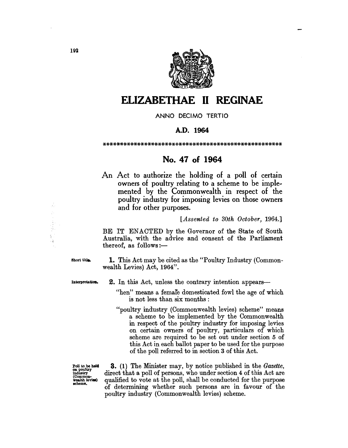

# **ELIZABETHAE 11 REGINAE**

ANNO DECIMO TERTIO

### A.D. 1964

\*\*\*\*\*\*\*\*\*\*\*\*\*\*\*\*\*\*\*\*\*\*\*\*\*\*\*\*\*\*\*\*\*\*\*\*\*\*\*\*\*\*\*\*\*\*\*\*\*\*\*\*

## No. 47 of 1964

An Act to authorize the holding of a poll of certain owners of poultry relating to a scheme to be implemented by the Commonwealth in respect of the poultry industry for imposing levies on those owners and for other purposes.

#### *[Assented to 30th October, 1964.]*

BE IT ENACTED by the Governor of the State of South Australia, with the advice and consent of the Parliament thereof, as follows: $-$ 

Short title. **1.** This Act may be cited as the "Poultry Industry (Commonwealth Levies) Act, 1964".

Interpretation. 2. In this Act, unless the contrary intention appears-

- "hen" means a female domesticated fowl the age of which is not less than six months :
- "poultry industry (Commonwealth levies) scheme" means a scheme to be implemented by the Commonwealth in respect of the poultry industry for imposing levies on certain owners of poultry, particulars of which scheme are required to be set out under section 5 of this Act in each ballot paper to be used for the purpose of the poll referred to in section 3 of this Act.

Poll to be held<br>on poultry<br>industry (Common-<br>wealth levies)<br>scheme.

3. (1) The Minister may, by notice published in the *Gazette,*  direct that a poll of persons, who under section 4 of this Act are qualified to vote at the poll, shall be conducted for the purpose of determining whether such persons are in favour of the poultry industry (Commonwealth levies) scheme.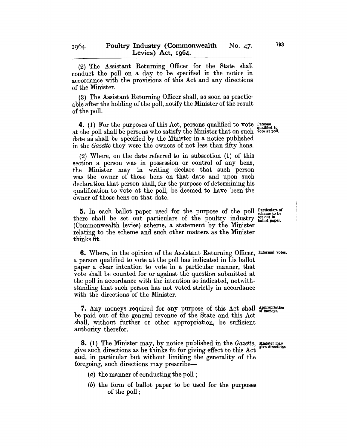(2) The Assistant Returning Officer for the State shall conduct the poll on a day to be specified in the notice in accordance with the provisions of this Act and any directions of the Minister.

(3) The Assistant Returning Officer shall, as soon as practicable after the holding of the poll, notify the Minister of the result of the poll.

**4.** (1) For the purposes of this Act, persons qualified to vote *Persons* at the poll shall be persons who satisfy the Minister that on such vote at poll. date as shall be specified by the Minister in a notice published in the *Gazette* they were the owners of not less than fifty hens.

(2) Where, on the date referred to in subsection (1) of this section a person was in possession or control of any hens, the Minister may in writing declare that such person was the owner of those hens on that date and upon such declaration that person shall, for the purpose of determining his qualification to vote at the poll, be deemed to have been the owner of those hens on that date.

5. In each ballot paper used for the purpose of the poll Farticulars of scheme to be there shall be set out particulars of the poultry industry  $\frac{1}{\text{ballot paper}}$ . (Commonwealth levies) scheme, a statement by the Minister relating to the scheme and such other matters as the Minister thinks fit.

**6.** Where, in the opinion of the Assistant Returning Officer, Informal votes. a person qualified to vote at the poll has indicated in his ballot paper a clear intention to vote in a particular manner, that vote shall be counted for or against the question submitted at the poll in accordance with the intention so indicated, notwithstanding that such person has not voted strictly in accordance with the directions of the Minister.

7. Any moneys required for any purpose of this Act shall Appropriation be paid out of the general revenue of the State and this Act shall, without further or other appropriation, be sufficient authority therefor.

**8.** (1) The Minister may, by notice published in the *Gazette*, Minister may live directions. give such directions as he thinks fit for giving effect to this Act and, in particular but without limiting the generality of the foregoing, such directions may prescribe-

- $(a)$  the manner of conducting the poll;
- (b) the form of ballot paper to be used for the purposes of the poll;

1064.